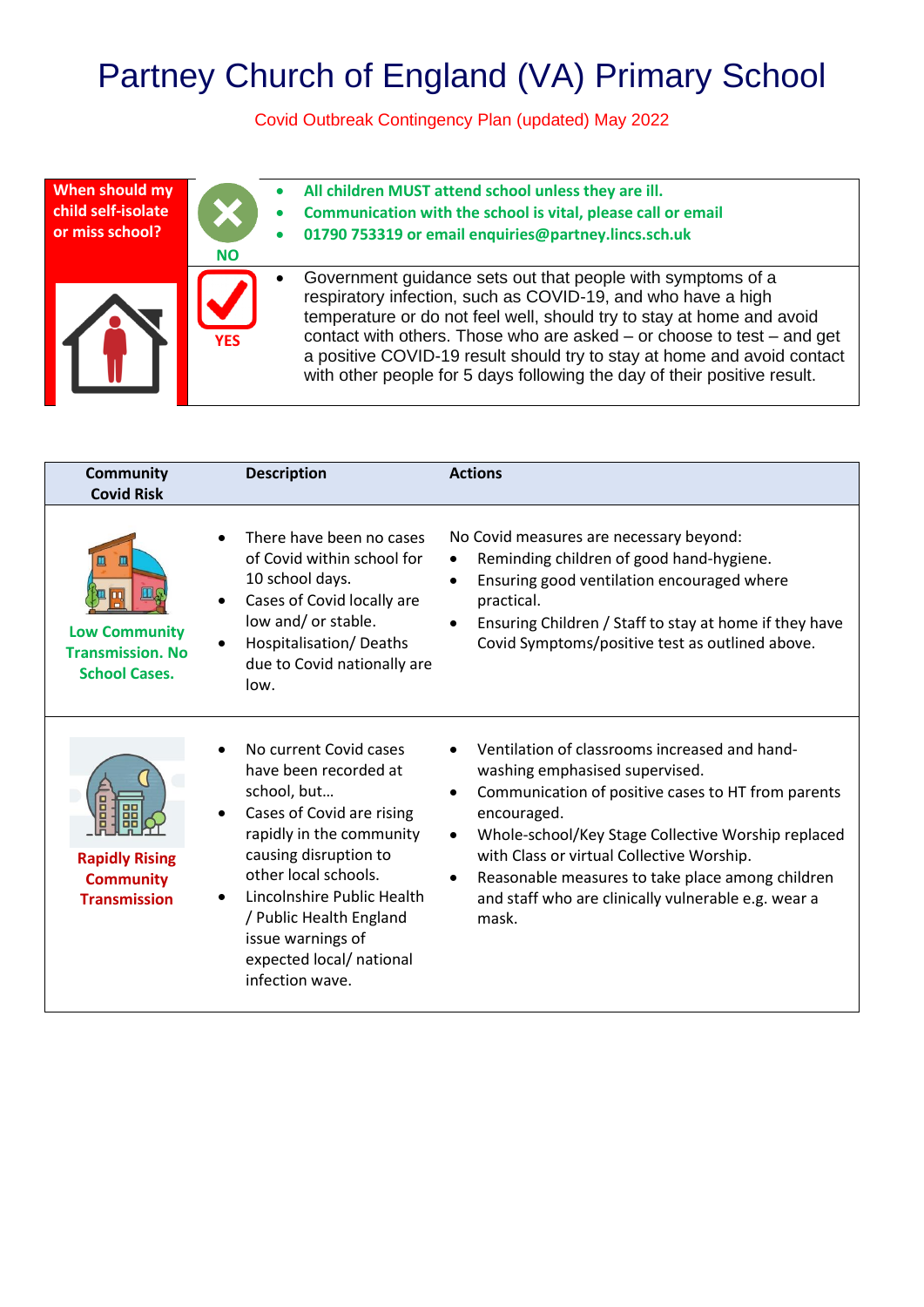## Partney Church of England (VA) Primary School

Covid Outbreak Contingency Plan (updated) May 2022

| When should my     | $\bullet$  | All children MUST attend school unless they are ill.                                                                                                                                                                                                                                                                                                                                                                                      |
|--------------------|------------|-------------------------------------------------------------------------------------------------------------------------------------------------------------------------------------------------------------------------------------------------------------------------------------------------------------------------------------------------------------------------------------------------------------------------------------------|
| child self-isolate | $\bullet$  | Communication with the school is vital, please call or email                                                                                                                                                                                                                                                                                                                                                                              |
| or miss school?    | <b>NO</b>  | 01790 753319 or email enquiries@partney.lincs.sch.uk                                                                                                                                                                                                                                                                                                                                                                                      |
|                    | <b>YES</b> | Government guidance sets out that people with symptoms of a<br>respiratory infection, such as COVID-19, and who have a high<br>temperature or do not feel well, should try to stay at home and avoid<br>contact with others. Those who are asked $-$ or choose to test $-$ and get<br>a positive COVID-19 result should try to stay at home and avoid contact<br>with other people for 5 days following the day of their positive result. |

| <b>Community</b><br><b>Covid Risk</b>                                             | <b>Description</b>                                                                                                                                                                                                                                                                                    | <b>Actions</b>                                                                                                                                                                                                                                                                                                                                                                           |
|-----------------------------------------------------------------------------------|-------------------------------------------------------------------------------------------------------------------------------------------------------------------------------------------------------------------------------------------------------------------------------------------------------|------------------------------------------------------------------------------------------------------------------------------------------------------------------------------------------------------------------------------------------------------------------------------------------------------------------------------------------------------------------------------------------|
| Щ<br>Щ<br><b>Low Community</b><br><b>Transmission. No</b><br><b>School Cases.</b> | There have been no cases<br>of Covid within school for<br>10 school days.<br>Cases of Covid locally are<br>low and/ or stable.<br>Hospitalisation/Deaths<br>due to Covid nationally are<br>low.                                                                                                       | No Covid measures are necessary beyond:<br>Reminding children of good hand-hygiene.<br>Ensuring good ventilation encouraged where<br>practical.<br>Ensuring Children / Staff to stay at home if they have<br>Covid Symptoms/positive test as outlined above.                                                                                                                             |
| <b>Rapidly Rising</b><br><b>Community</b><br><b>Transmission</b>                  | No current Covid cases<br>have been recorded at<br>school, but<br>Cases of Covid are rising<br>rapidly in the community<br>causing disruption to<br>other local schools.<br>Lincolnshire Public Health<br>/ Public Health England<br>issue warnings of<br>expected local/ national<br>infection wave. | Ventilation of classrooms increased and hand-<br>washing emphasised supervised.<br>Communication of positive cases to HT from parents<br>encouraged.<br>Whole-school/Key Stage Collective Worship replaced<br>$\bullet$<br>with Class or virtual Collective Worship.<br>Reasonable measures to take place among children<br>and staff who are clinically vulnerable e.g. wear a<br>mask. |